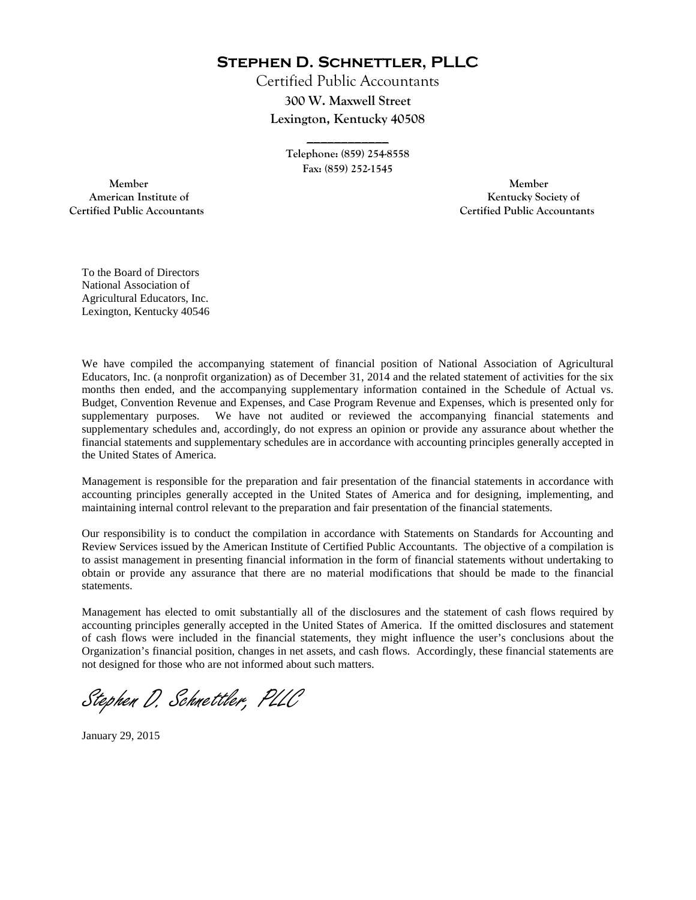**Stephen D. Schnettler, PLLC**

Certified Public Accountants **300 W. Maxwell Street Lexington, Kentucky 40508**

> **Telephone: (859) 254-8558 Fax: (859) 252-1545**

**\_\_\_\_\_\_\_\_\_\_\_\_** 

**Member** Member 2008 and 2008 and 2008 and 2008 and 2008 and 2008 and 2008 and 2008 and 2008 and 2008 and 2008 and 2008 and 2008 and 2008 and 2008 and 2008 and 2008 and 2008 and 2008 and 2008 and 2008 and 2008 and 2008 and  **Certified Public Accountants Certified Public Accountants**

 **American Institute of Kentucky Society of Kentucky Society of Kentucky Society of** 

To the Board of Directors National Association of Agricultural Educators, Inc. Lexington, Kentucky 40546

We have compiled the accompanying statement of financial position of National Association of Agricultural Educators, Inc. (a nonprofit organization) as of December 31, 2014 and the related statement of activities for the six months then ended, and the accompanying supplementary information contained in the Schedule of Actual vs. Budget, Convention Revenue and Expenses, and Case Program Revenue and Expenses, which is presented only for supplementary purposes. We have not audited or reviewed the accompanying financial statements and We have not audited or reviewed the accompanying financial statements and supplementary schedules and, accordingly, do not express an opinion or provide any assurance about whether the financial statements and supplementary schedules are in accordance with accounting principles generally accepted in the United States of America.

Management is responsible for the preparation and fair presentation of the financial statements in accordance with accounting principles generally accepted in the United States of America and for designing, implementing, and maintaining internal control relevant to the preparation and fair presentation of the financial statements.

Our responsibility is to conduct the compilation in accordance with Statements on Standards for Accounting and Review Services issued by the American Institute of Certified Public Accountants. The objective of a compilation is to assist management in presenting financial information in the form of financial statements without undertaking to obtain or provide any assurance that there are no material modifications that should be made to the financial statements.

Management has elected to omit substantially all of the disclosures and the statement of cash flows required by accounting principles generally accepted in the United States of America. If the omitted disclosures and statement of cash flows were included in the financial statements, they might influence the user's conclusions about the Organization's financial position, changes in net assets, and cash flows. Accordingly, these financial statements are not designed for those who are not informed about such matters.

Stephen D. Schnettler, PLLC

January 29, 2015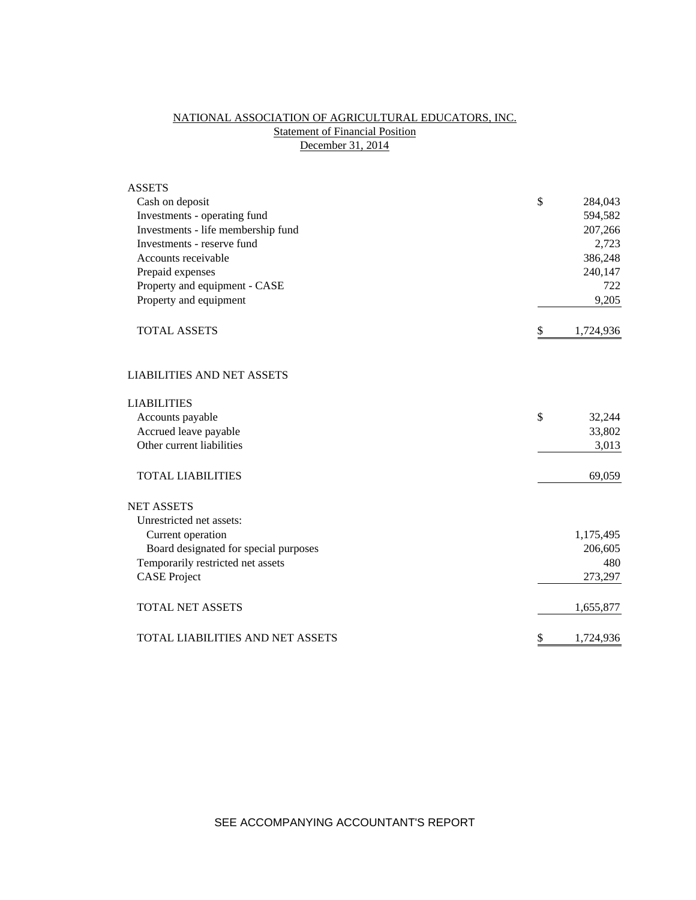# NATIONAL ASSOCIATION OF AGRICULTURAL EDUCATORS, INC. **Statement of Financial Position** December 31, 2014

| <b>ASSETS</b>                           |                 |
|-----------------------------------------|-----------------|
| Cash on deposit                         | \$<br>284,043   |
| Investments - operating fund            | 594,582         |
| Investments - life membership fund      | 207,266         |
| Investments - reserve fund              | 2,723           |
| Accounts receivable                     | 386,248         |
| Prepaid expenses                        | 240,147         |
| Property and equipment - CASE           | 722             |
| Property and equipment                  | 9,205           |
| <b>TOTAL ASSETS</b>                     | \$<br>1,724,936 |
| <b>LIABILITIES AND NET ASSETS</b>       |                 |
| <b>LIABILITIES</b>                      |                 |
| Accounts payable                        | \$<br>32,244    |
| Accrued leave payable                   | 33,802          |
| Other current liabilities               | 3,013           |
| <b>TOTAL LIABILITIES</b>                | 69,059          |
| <b>NET ASSETS</b>                       |                 |
| Unrestricted net assets:                |                 |
| Current operation                       | 1,175,495       |
| Board designated for special purposes   | 206,605         |
| Temporarily restricted net assets       | 480             |
| <b>CASE Project</b>                     | 273,297         |
| <b>TOTAL NET ASSETS</b>                 | 1,655,877       |
| <b>TOTAL LIABILITIES AND NET ASSETS</b> | \$<br>1,724,936 |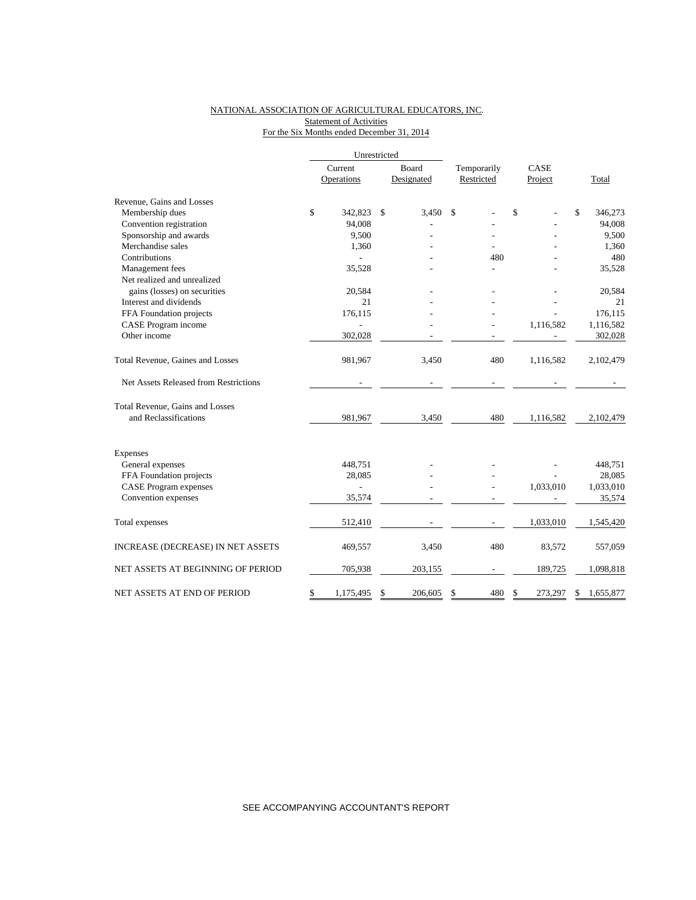### NATIONAL ASSOCIATION OF AGRICULTURAL EDUCATORS, INC. **Statement of Activities** For the Six Months ended December 31, 2014

|                                       | Unrestricted |                |       |            |             |            |      |           |    |           |
|---------------------------------------|--------------|----------------|-------|------------|-------------|------------|------|-----------|----|-----------|
|                                       | Current      |                | Board |            | Temporarily |            | CASE |           |    |           |
|                                       |              | Operations     |       | Designated |             | Restricted |      | Project   |    | Total     |
| Revenue, Gains and Losses             |              |                |       |            |             |            |      |           |    |           |
| Membership dues                       | \$           | 342,823        | \$    | 3,450      | \$          |            | \$   |           | \$ | 346,273   |
| Convention registration               |              | 94,008         |       |            |             |            |      |           |    | 94,008    |
| Sponsorship and awards                |              | 9,500          |       |            |             |            |      |           |    | 9,500     |
| Merchandise sales                     |              | 1,360          |       |            |             |            |      |           |    | 1,360     |
| Contributions                         |              |                |       |            |             | 480        |      |           |    | 480       |
| Management fees                       |              | 35,528         |       |            |             |            |      |           |    | 35,528    |
| Net realized and unrealized           |              |                |       |            |             |            |      |           |    |           |
| gains (losses) on securities          |              | 20,584         |       |            |             |            |      |           |    | 20,584    |
| Interest and dividends                |              | 21             |       |            |             |            |      |           |    | 21        |
| FFA Foundation projects               |              | 176,115        |       |            |             |            |      |           |    | 176,115   |
| CASE Program income                   |              |                |       |            |             |            |      | 1,116,582 |    | 1,116,582 |
| Other income                          |              | 302,028        |       |            |             |            |      |           |    | 302,028   |
| Total Revenue, Gaines and Losses      |              | 981,967        |       | 3,450      |             | 480        |      | 1,116,582 |    | 2,102,479 |
| Net Assets Released from Restrictions |              |                |       |            |             |            |      |           |    |           |
| Total Revenue, Gains and Losses       |              |                |       |            |             |            |      |           |    |           |
| and Reclassifications                 |              | 981,967        |       | 3,450      |             | 480        |      | 1,116,582 |    | 2,102,479 |
| Expenses                              |              |                |       |            |             |            |      |           |    |           |
| General expenses                      |              | 448,751        |       |            |             |            |      |           |    | 448,751   |
| FFA Foundation projects               |              | 28,085         |       |            |             |            |      |           |    | 28,085    |
| <b>CASE Program expenses</b>          |              | $\overline{a}$ |       |            |             |            |      | 1,033,010 |    | 1,033,010 |
| Convention expenses                   |              | 35,574         |       |            |             |            |      |           |    | 35,574    |
| Total expenses                        |              | 512,410        |       |            |             |            |      | 1,033,010 |    | 1,545,420 |
| INCREASE (DECREASE) IN NET ASSETS     |              | 469,557        |       | 3,450      |             | 480        |      | 83,572    |    | 557,059   |
| NET ASSETS AT BEGINNING OF PERIOD     |              | 705,938        |       | 203,155    |             |            |      | 189,725   |    | 1,098,818 |
| NET ASSETS AT END OF PERIOD           | \$           | 1,175,495      | \$    | 206,605    | \$          | 480        | \$   | 273,297   | \$ | 1,655,877 |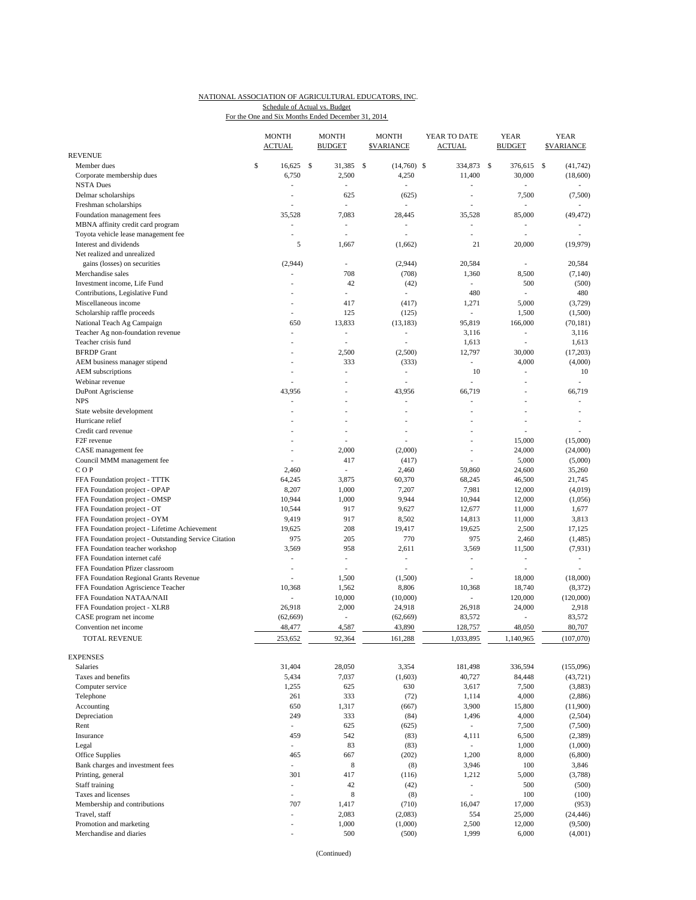#### NATIONAL ASSOCIATION OF AGRICULTURAL EDUCATORS, INC. For the One and Six Months Ended December 31, 2014 Schedule of Actual vs. Budget

|                                                       | <b>MONTH</b><br><b>ACTUAL</b> |     | MONTH<br><b>BUDGET</b>   | <b>MONTH</b><br><b>\$VARIANCE</b> | YEAR TO DATE<br><b>ACTUAL</b> | YEAR<br><b>BUDGET</b> |                          | YEAR<br><b>SVARIANCE</b> |
|-------------------------------------------------------|-------------------------------|-----|--------------------------|-----------------------------------|-------------------------------|-----------------------|--------------------------|--------------------------|
| <b>REVENUE</b>                                        |                               |     |                          |                                   |                               |                       |                          |                          |
| Member dues                                           | \$<br>16,625                  | \$  | 31,385                   | \$<br>$(14,760)$ \$               | 334,873                       | \$                    | 376,615                  | \$<br>(41, 742)          |
| Corporate membership dues                             | 6,750                         |     | 2,500                    | 4,250                             | 11,400                        |                       | 30,000                   | (18,600)                 |
| <b>NSTA Dues</b>                                      | $\overline{a}$                |     |                          |                                   |                               |                       |                          |                          |
| Delmar scholarships                                   | $\overline{a}$                |     | 625                      | (625)                             | L,                            |                       | 7,500                    | (7,500)                  |
| Freshman scholarships                                 |                               |     | ÷,                       |                                   | L,                            |                       | L,                       |                          |
| Foundation management fees                            | 35,528                        |     | 7,083                    | 28,445                            | 35,528                        |                       | 85,000                   | (49, 472)                |
| MBNA affinity credit card program                     | $\overline{\phantom{a}}$      |     |                          |                                   | ÷,                            |                       | $\frac{1}{2}$            |                          |
| Toyota vehicle lease management fee                   | $\overline{\phantom{a}}$      |     | ٠                        | ä,                                | L,                            |                       | L,                       | ÷.                       |
| Interest and dividends                                |                               | 5   | 1,667                    | (1,662)                           | 21                            |                       | 20,000                   | (19, 979)                |
| Net realized and unrealized                           |                               |     |                          |                                   |                               |                       |                          |                          |
| gains (losses) on securities                          | (2,944)                       |     | ٠                        | (2,944)                           | 20,584                        |                       | ÷,                       | 20,584                   |
| Merchandise sales                                     |                               |     | 708                      | (708)                             | 1,360                         |                       | 8,500                    | (7,140)                  |
| Investment income, Life Fund                          |                               |     | 42                       | (42)                              | ٠                             |                       | 500                      | (500)                    |
| Contributions, Legislative Fund                       |                               |     | $\sim$                   | $\overline{\phantom{a}}$          | 480                           |                       | L.                       | 480                      |
| Miscellaneous income                                  |                               |     | 417                      | (417)                             | 1,271                         |                       | 5,000                    | (3, 729)                 |
| Scholarship raffle proceeds                           | $\overline{a}$                |     | 125                      | (125)                             | $\overline{\phantom{a}}$      |                       | 1,500                    | (1,500)                  |
| National Teach Ag Campaign                            |                               | 650 | 13,833                   | (13, 183)                         | 95,819                        |                       | 166,000                  | (70, 181)                |
| Teacher Ag non-foundation revenue                     | ÷,                            |     | ÷.                       |                                   | 3,116                         |                       | ä,                       | 3,116                    |
| Teacher crisis fund                                   |                               |     | ÷,                       |                                   | 1,613                         |                       | $\overline{a}$           | 1,613                    |
| <b>BFRDP</b> Grant                                    |                               |     | 2,500                    | (2,500)                           | 12,797                        |                       | 30,000                   | (17,203)                 |
| AEM business manager stipend                          | $\overline{a}$                |     | 333                      | (333)                             | ÷.                            |                       | 4,000                    | (4,000)                  |
| AEM subscriptions                                     |                               |     | ٠                        | $\overline{a}$                    | 10                            |                       | $\frac{1}{2}$            | 10                       |
| Webinar revenue                                       |                               |     |                          |                                   | L,                            |                       |                          | $\overline{\phantom{a}}$ |
| DuPont Agrisciense                                    | 43,956                        |     |                          | 43,956                            | 66,719                        |                       | L,                       | 66,719                   |
| <b>NPS</b>                                            |                               |     |                          |                                   | $\overline{a}$                |                       | $\overline{a}$           | ÷,                       |
|                                                       |                               |     |                          |                                   | ÷,                            |                       | ä,                       | ÷.                       |
| State website development                             |                               |     |                          |                                   |                               |                       |                          |                          |
| Hurricane relief                                      |                               |     |                          |                                   |                               |                       | L,                       |                          |
| Credit card revenue                                   |                               |     |                          |                                   |                               |                       |                          |                          |
| F <sub>2F</sub> revenue                               |                               |     | ٠                        | $\overline{a}$                    | L,                            |                       | 15,000                   | (15,000)                 |
| CASE management fee                                   | $\overline{\phantom{a}}$      |     | 2,000                    | (2,000)                           | ÷,                            |                       | 24,000                   | (24,000)                 |
| Council MMM management fee                            |                               |     | 417                      | (417)                             | $\overline{a}$                |                       | 5,000                    | (5,000)                  |
| COP                                                   | 2,460                         |     | ÷,                       | 2,460                             | 59,860                        |                       | 24,600                   | 35,260                   |
| FFA Foundation project - TTTK                         | 64,245                        |     | 3,875                    | 60,370                            | 68,245                        |                       | 46,500                   | 21,745                   |
| FFA Foundation project - OPAP                         | 8,207                         |     | 1,000                    | 7,207                             | 7,981                         |                       | 12,000                   | (4,019)                  |
| FFA Foundation project - OMSP                         | 10,944                        |     | 1,000                    | 9,944                             | 10,944                        |                       | 12,000                   | (1,056)                  |
| FFA Foundation project - OT                           | 10,544                        |     | 917                      | 9,627                             | 12,677                        |                       | 11,000                   | 1,677                    |
| FFA Foundation project - OYM                          | 9,419                         |     | 917                      | 8,502                             | 14,813                        |                       | 11,000                   | 3,813                    |
| FFA Foundation project - Lifetime Achievement         | 19,625                        |     | 208                      | 19,417                            | 19,625                        |                       | 2,500                    | 17,125                   |
| FFA Foundation project - Outstanding Service Citation |                               | 975 | 205                      | 770                               | 975                           |                       | 2,460                    | (1,485)                  |
| FFA Foundation teacher workshop                       | 3,569                         |     | 958                      | 2,611                             | 3,569                         |                       | 11,500                   | (7, 931)                 |
| FFA Foundation internet café                          | $\overline{a}$                |     | ٠                        | $\overline{a}$                    | $\overline{\phantom{a}}$      |                       | $\overline{\phantom{a}}$ | $\overline{\phantom{a}}$ |
| FFA Foundation Pfizer classroom                       | $\overline{\phantom{a}}$      |     | ٠                        | ÷,                                | $\overline{a}$                |                       | ÷,                       |                          |
| FFA Foundation Regional Grants Revenue                |                               |     | 1,500                    | (1,500)                           | L,                            |                       | 18,000                   | (18,000)                 |
| FFA Foundation Agriscience Teacher                    | 10,368                        |     | 1,562                    | 8,806                             | 10,368                        |                       | 18,740                   | (8, 372)                 |
| FFA Foundation NATAA/NAII                             | ÷,                            |     | 10,000                   | (10,000)                          | ٠                             |                       | 120,000                  | (120,000)                |
| FFA Foundation project - XLR8                         | 26,918                        |     | 2,000                    | 24,918                            | 26,918                        |                       | 24,000                   | 2,918                    |
| CASE program net income                               | (62, 669)                     |     | $\overline{\phantom{a}}$ | (62, 669)                         | 83,572                        |                       |                          | 83,572                   |
| Convention net income                                 | 48,477                        |     | 4,587                    | 43,890                            | 128,757                       |                       | 48,050                   | 80,707                   |
| <b>TOTAL REVENUE</b>                                  | 253,652                       |     | 92,364                   | 161,288                           | 1,033,895                     |                       | 1,140,965                | (107,070)                |
|                                                       |                               |     |                          |                                   |                               |                       |                          |                          |
| <b>EXPENSES</b>                                       |                               |     |                          |                                   |                               |                       |                          |                          |
| <b>Salaries</b>                                       | 31,404                        |     | 28,050                   | 3,354                             | 181,498                       |                       | 336,594                  | (155,096)                |
| Taxes and benefits                                    | 5,434                         |     | 7,037                    |                                   | 40,727                        |                       | 84,448                   | (43, 721)                |
|                                                       |                               |     |                          | (1,603)                           |                               |                       |                          |                          |
| Computer service                                      | 1,255                         |     | 625                      | 630                               | 3,617                         |                       | 7,500                    | (3,883)                  |
| Telephone                                             |                               | 261 | 333                      | (72)                              | 1,114                         |                       | 4,000                    | (2,886)                  |
| Accounting                                            |                               | 650 | 1,317                    | (667)                             | 3,900                         |                       | 15,800                   | (11,900)                 |
| Depreciation                                          |                               | 249 | 333                      | (84)                              | 1,496                         |                       | 4,000                    | (2,504)                  |
| Rent                                                  | $\frac{1}{2}$                 |     | 625                      | (625)                             | $\overline{\phantom{a}}$      |                       | 7,500                    | (7,500)                  |
| Insurance                                             |                               | 459 | 542                      | (83)                              | 4,111                         |                       | 6,500                    | (2,389)                  |
| Legal                                                 | ÷.                            |     | 83                       | (83)                              | $\sim$                        |                       | 1,000                    | (1,000)                  |
| Office Supplies                                       |                               | 465 | 667                      | (202)                             | 1,200                         |                       | 8,000                    | (6,800)                  |
| Bank charges and investment fees                      | $\overline{\phantom{a}}$      |     | $\,$ 8 $\,$              | (8)                               | 3,946                         |                       | 100                      | 3,846                    |
| Printing, general                                     |                               | 301 | 417                      | (116)                             | 1,212                         |                       | 5,000                    | (3,788)                  |
| Staff training                                        | $\overline{\phantom{a}}$      |     | 42                       | (42)                              | $\overline{\phantom{a}}$      |                       | 500                      | (500)                    |
| Taxes and licenses                                    | ÷,                            |     | 8                        | (8)                               | $\frac{1}{2}$                 |                       | 100                      | (100)                    |
| Membership and contributions                          |                               | 707 | 1,417                    | (710)                             | 16,047                        |                       | 17,000                   | (953)                    |
| Travel, staff                                         | $\overline{\phantom{a}}$      |     | 2,083                    | (2,083)                           | 554                           |                       | 25,000                   | (24, 446)                |
| Promotion and marketing                               | $\overline{a}$                |     | 1,000                    | (1,000)                           | 2,500                         |                       | 12,000                   | (9,500)                  |
| Merchandise and diaries                               | ÷,                            |     | 500                      | (500)                             | 1,999                         |                       | 6,000                    | (4,001)                  |
|                                                       |                               |     |                          |                                   |                               |                       |                          |                          |

(Continued)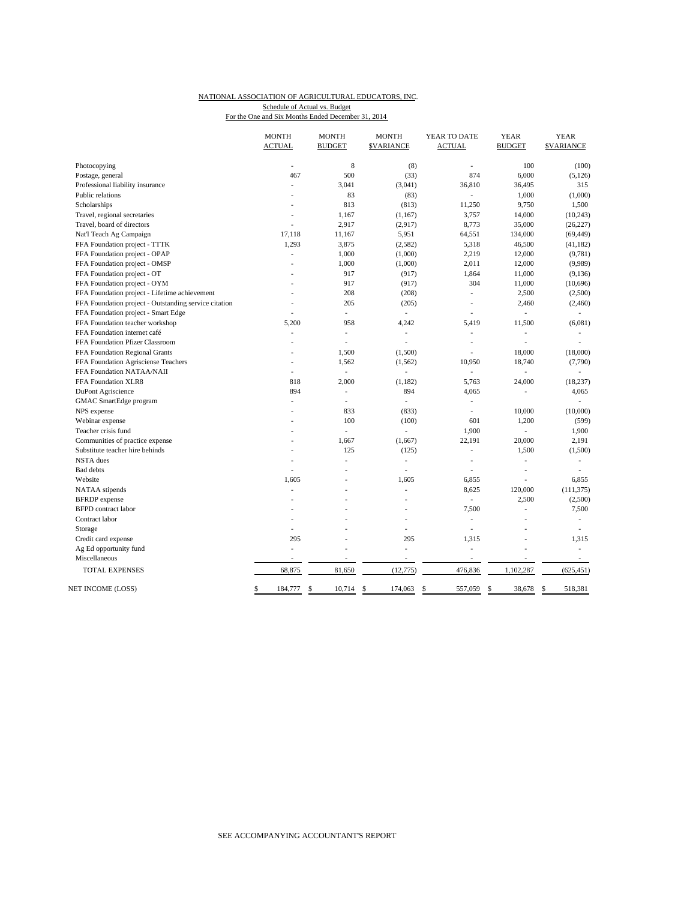#### NATIONAL ASSOCIATION OF AGRICULTURAL EDUCATORS, INC. For the One and Six Months Ended December 31, 2014 Schedule of Actual vs. Budget

|                                                       | <b>MONTH</b><br><b>ACTUAL</b> | <b>MONTH</b><br><b>BUDGET</b> | <b>MONTH</b><br><b>\$VARIANCE</b> | YEAR TO DATE<br><b>ACTUAL</b> | <b>YEAR</b><br><b>BUDGET</b> | <b>YEAR</b><br><b>SVARIANCE</b> |
|-------------------------------------------------------|-------------------------------|-------------------------------|-----------------------------------|-------------------------------|------------------------------|---------------------------------|
| Photocopying                                          | ÷,                            | 8                             | (8)                               | ÷,                            | 100                          | (100)                           |
| Postage, general                                      | 467                           | 500                           | (33)                              | 874                           | 6,000                        | (5, 126)                        |
| Professional liability insurance                      | ä,                            | 3,041                         | (3,041)                           | 36,810                        | 36,495                       | 315                             |
| Public relations                                      |                               | 83                            | (83)                              | ÷,                            | 1,000                        | (1,000)                         |
| Scholarships                                          |                               | 813                           | (813)                             | 11,250                        | 9,750                        | 1,500                           |
| Travel, regional secretaries                          |                               | 1,167                         | (1, 167)                          | 3,757                         | 14,000                       | (10, 243)                       |
| Travel, board of directors                            | L,                            | 2,917                         | (2,917)                           | 8,773                         | 35,000                       | (26, 227)                       |
| Nat'l Teach Ag Campaign                               | 17,118                        | 11,167                        | 5,951                             | 64,551                        | 134,000                      | (69, 449)                       |
| FFA Foundation project - TTTK                         | 1,293                         | 3,875                         | (2, 582)                          | 5,318                         | 46,500                       | (41, 182)                       |
| FFA Foundation project - OPAP                         | $\overline{a}$                | 1,000                         | (1,000)                           | 2,219                         | 12,000                       | (9,781)                         |
| FFA Foundation project - OMSP                         | L,                            | 1,000                         | (1,000)                           | 2,011                         | 12,000                       | (9,989)                         |
| FFA Foundation project - OT                           | L,                            | 917                           | (917)                             | 1,864                         | 11,000                       | (9, 136)                        |
| FFA Foundation project - OYM                          |                               | 917                           | (917)                             | 304                           | 11,000                       | (10,696)                        |
| FFA Foundation project - Lifetime achievement         |                               | 208                           | (208)                             | ÷,                            | 2,500                        | (2,500)                         |
| FFA Foundation project - Outstanding service citation | $\overline{a}$                | 205                           | (205)                             | $\overline{a}$                | 2,460                        | (2,460)                         |
| FFA Foundation project - Smart Edge                   | $\overline{a}$                | $\sim$                        | ÷.                                | ÷.                            |                              |                                 |
| FFA Foundation teacher workshop                       | 5,200                         | 958                           | 4,242                             | 5,419                         | 11,500                       | (6,081)                         |
| FFA Foundation internet café                          | L.                            | Ĭ.                            | $\overline{\phantom{a}}$          | ÷,                            | L.                           |                                 |
| FFA Foundation Pfizer Classroom                       | $\overline{a}$                | Ĭ.                            |                                   | Ĭ.                            | L,                           |                                 |
| FFA Foundation Regional Grants                        |                               | 1,500                         | (1,500)                           | ÷,                            | 18,000                       | (18,000)                        |
| FFA Foundation Agrisciense Teachers                   | L,                            | 1,562                         | (1, 562)                          | 10,950                        | 18,740                       | (7,790)                         |
| FFA Foundation NATAA/NAII                             |                               | $\overline{\phantom{a}}$      |                                   | $\overline{\phantom{a}}$      | $\overline{a}$               |                                 |
| FFA Foundation XLR8                                   | 818                           | 2,000                         | (1, 182)                          | 5,763                         | 24,000                       | (18, 237)                       |
| DuPont Agriscience                                    | 894                           | ٠                             | 894                               | 4,065                         | L,                           | 4,065                           |
| GMAC SmartEdge program                                |                               | Ĭ.                            | ÷,                                | ÷,                            |                              |                                 |
| NPS expense                                           |                               | 833                           | (833)                             | ÷,                            | 10,000                       | (10,000)                        |
| Webinar expense                                       |                               | 100                           | (100)                             | 601                           | 1,200                        | (599)                           |
| Teacher crisis fund                                   | Ĭ.                            | Ĭ.                            | L.                                | 1,900                         | Ĭ.                           | 1,900                           |
| Communities of practice expense                       |                               | 1.667                         | (1,667)                           | 22,191                        | 20,000                       | 2,191                           |
| Substitute teacher hire behinds                       |                               | 125                           | (125)                             | ÷,                            | 1,500                        | (1,500)                         |
| <b>NSTA</b> dues                                      |                               | Ĭ.                            | ä,                                | L,                            | J.                           | ÷,                              |
| <b>Bad</b> debts                                      | $\overline{a}$                | J.                            | $\overline{\phantom{a}}$          | $\overline{\phantom{a}}$      | ÷,                           | $\overline{\phantom{a}}$        |
| Website                                               | 1,605                         | ÷,                            | 1,605                             | 6,855                         | ٠                            | 6,855                           |
| NATAA stipends                                        |                               |                               |                                   | 8,625                         | 120,000                      | (111, 375)                      |
| <b>BFRDP</b> expense                                  |                               |                               |                                   | ÷.                            | 2,500                        | (2,500)                         |
| <b>BFPD</b> contract labor                            |                               |                               |                                   | 7,500                         | L,                           | 7,500                           |
| Contract labor                                        | ä,                            |                               | ÷.                                | ÷,                            | L.                           | $\overline{\phantom{a}}$        |
| Storage                                               |                               |                               | i,                                | Ĭ.                            |                              |                                 |
| Credit card expense                                   | 295                           | í,                            | 295                               | 1,315                         | L                            | 1,315                           |
| Ag Ed opportunity fund                                | ä,                            | Î.                            | ä,                                | L,                            |                              | $\overline{\phantom{a}}$        |
| Miscellaneous                                         | $\overline{\phantom{a}}$      | ٠                             | $\overline{\phantom{a}}$          | $\overline{\phantom{a}}$      | $\overline{\phantom{a}}$     | $\sim$                          |
| <b>TOTAL EXPENSES</b>                                 | 68,875                        | 81,650                        | (12, 775)                         | 476,836                       | 1,102,287                    | (625, 451)                      |
| NET INCOME (LOSS)                                     | 184,777<br>\$                 | \$<br>10,714                  | \$<br>174,063                     | 557,059<br>\$                 | 38,678<br>\$                 | 518,381<br>\$                   |
|                                                       |                               |                               |                                   |                               |                              |                                 |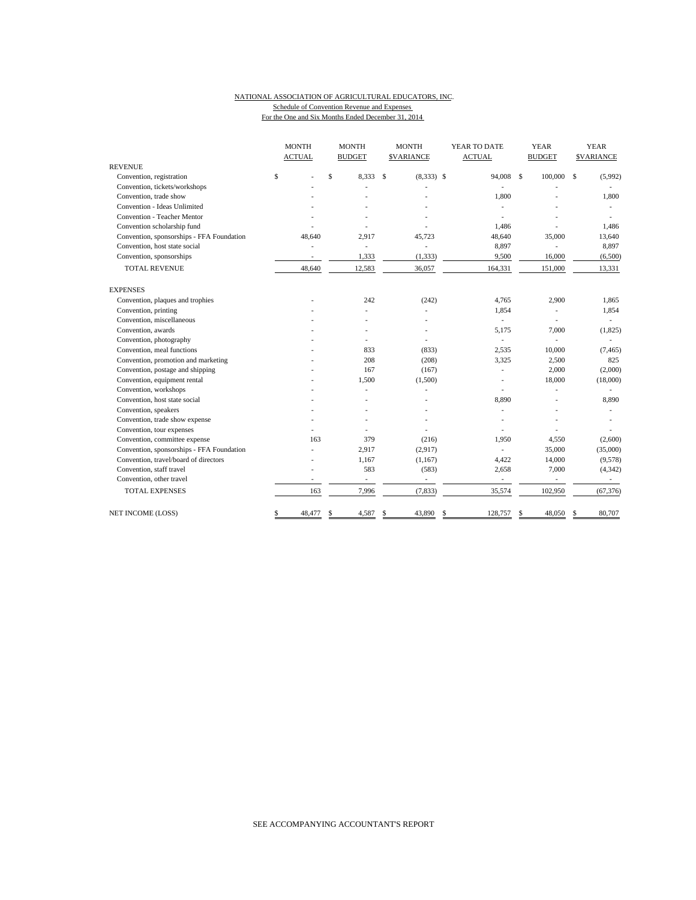## NATIONAL ASSOCIATION OF AGRICULTURAL EDUCATORS, INC. Schedule of Convention Revenue and Expenses

|                                           | <b>MONTH</b><br><b>ACTUAL</b> | <b>MONTH</b><br><b>BUDGET</b> | <b>MONTH</b><br><b>SVARIANCE</b> | YEAR TO DATE<br><b>ACTUAL</b> | <b>YEAR</b><br><b>BUDGET</b> | <b>YEAR</b><br><b>\$VARIANCE</b> |
|-------------------------------------------|-------------------------------|-------------------------------|----------------------------------|-------------------------------|------------------------------|----------------------------------|
| <b>REVENUE</b>                            |                               |                               |                                  |                               |                              |                                  |
| Convention, registration                  | \$                            | \$<br>8,333                   | \$<br>$(8,333)$ \$               | 94,008                        | $\mathbf{s}$<br>100,000      | \$<br>(5,992)                    |
| Convention, tickets/workshops             |                               |                               |                                  |                               |                              |                                  |
| Convention, trade show                    |                               |                               |                                  | 1,800                         |                              | 1,800                            |
| Convention - Ideas Unlimited              |                               |                               |                                  |                               |                              |                                  |
| Convention - Teacher Mentor               |                               |                               |                                  |                               |                              |                                  |
| Convention scholarship fund               |                               |                               |                                  | 1,486                         |                              | 1,486                            |
| Convention, sponsorships - FFA Foundation | 48.640                        | 2,917                         | 45,723                           | 48,640                        | 35,000                       | 13,640                           |
| Convention, host state social             |                               | $\sim$                        | ÷.                               | 8,897                         |                              | 8,897                            |
| Convention, sponsorships                  |                               | 1,333                         | (1, 333)                         | 9,500                         | 16,000                       | (6,500)                          |
| <b>TOTAL REVENUE</b>                      | 48,640                        | 12,583                        | 36,057                           | 164,331                       | 151,000                      | 13,331                           |
| <b>EXPENSES</b>                           |                               |                               |                                  |                               |                              |                                  |
| Convention, plaques and trophies          |                               | 242                           | (242)                            | 4.765                         | 2,900                        | 1,865                            |
| Convention, printing                      |                               |                               |                                  | 1,854                         | $\sim$                       | 1,854                            |
| Convention, miscellaneous                 |                               |                               |                                  | L.                            |                              |                                  |
| Convention, awards                        |                               |                               |                                  | 5.175                         | 7,000                        | (1,825)                          |
| Convention, photography                   |                               |                               |                                  | ÷,                            |                              |                                  |
| Convention, meal functions                |                               | 833                           | (833)                            | 2,535                         | 10,000                       | (7, 465)                         |
| Convention, promotion and marketing       |                               | 208                           | (208)                            | 3,325                         | 2,500                        | 825                              |
| Convention, postage and shipping          |                               | 167                           | (167)                            |                               | 2,000                        | (2,000)                          |
| Convention, equipment rental              |                               | 1,500                         | (1,500)                          |                               | 18,000                       | (18,000)                         |
| Convention, workshops                     |                               |                               |                                  |                               |                              |                                  |
| Convention, host state social             |                               |                               |                                  | 8,890                         |                              | 8,890                            |
| Convention, speakers                      |                               |                               |                                  |                               |                              |                                  |
| Convention, trade show expense            |                               |                               |                                  |                               |                              |                                  |
| Convention, tour expenses                 |                               |                               |                                  |                               |                              |                                  |
| Convention, committee expense             | 163                           | 379                           | (216)                            | 1.950                         | 4,550                        | (2,600)                          |
| Convention, sponsorships - FFA Foundation |                               | 2,917                         | (2,917)                          |                               | 35,000                       | (35,000)                         |
| Convention, travel/board of directors     |                               | 1,167                         | (1, 167)                         | 4,422                         | 14,000                       | (9,578)                          |
| Convention, staff travel                  |                               | 583                           | (583)                            | 2,658                         | 7,000                        | (4, 342)                         |
| Convention, other travel                  |                               | $\overline{\phantom{a}}$      | $\overline{a}$                   | $\overline{\phantom{a}}$      |                              |                                  |
| <b>TOTAL EXPENSES</b>                     | 163                           | 7,996                         | (7, 833)                         | 35,574                        | 102,950                      | (67, 376)                        |
| NET INCOME (LOSS)                         | \$<br>48,477                  | 4,587<br>\$                   | 43,890<br>\$                     | \$<br>128,757                 | 48,050<br>\$                 | 80,707<br>S                      |

For the One and Six Months Ended December 31, 2014